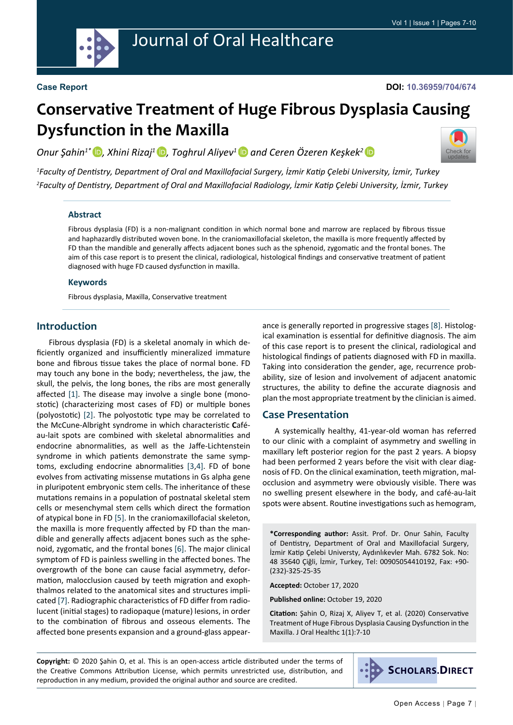

# Journal of Oral Healthcare

#### **Case Report**

#### **DOI: 10.36959/704/674**

# **Conservative Treatment of Huge Fibrous Dysplasia Causing Dysfunction in the Maxilla**

*Onur Şahin1\* [,](https://orcid.org/0000-0001-7816-1443) Xhini Rizaj<sup>1</sup>[,](https://orcid.org/0000-0001-6292-5859) Toghrul Aliyev[1](https://orcid.org/0000-0002-6312-476X) and Ceren Özeren Keşkek[2](https://orcid.org/0000-0002-1758-0852)* 



*1 Faculty of Dentistry, Department of Oral and Maxillofacial Surgery, İzmir Katip Çelebi University, İzmir, Turkey 2 Faculty of Dentistry, Department of Oral and Maxillofacial Radiology, İzmir Katip Çelebi University, İzmir, Turkey*

#### **Abstract**

Fibrous dysplasia (FD) is a non-malignant condition in which normal bone and marrow are replaced by fibrous tissue and haphazardly distributed woven bone. In the craniomaxillofacial skeleton, the maxilla is more frequently affected by FD than the mandible and generally affects adjacent bones such as the sphenoid, zygomatic and the frontal bones. The aim of this case report is to present the clinical, radiological, histological findings and conservative treatment of patient diagnosed with huge FD caused dysfunction in maxilla.

#### **Keywords**

Fibrous dysplasia, Maxilla, Conservative treatment

# **Introduction**

Fibrous dysplasia (FD) is a skeletal anomaly in which deficiently organized and insufficiently mineralized immature bone and fibrous tissue takes the place of normal bone. FD may touch any bone in the body; nevertheless, the jaw, the skull, the pelvis, the long bones, the ribs are most generally affected [\[1](#page-2-0)]. The disease may involve a single bone (monostotic) (characterizing most cases of FD) or multiple bones (polyostotic) [[2](#page-3-0)]. The polyostotic type may be correlated to the McCune-Albright syndrome in which characteristic **C**aféau-lait spots are combined with skeletal abnormalities and endocrine abnormalities, as well as the Jaffe-Lichtenstein syndrome in which patients demonstrate the same symptoms, excluding endocrine abnormalities [\[3](#page-3-1),[4\]](#page-3-2). FD of bone evolves from activating missense mutations in Gs alpha gene in pluripotent embryonic stem cells. The inheritance of these mutations remains in a population of postnatal skeletal stem cells or mesenchymal stem cells which direct the formation of atypical bone in FD [\[5](#page-3-3)]. In the craniomaxillofacial skeleton, the maxilla is more frequently affected by FD than the mandible and generally affects adjacent bones such as the sphenoid, zygomatic, and the frontal bones [[6\]](#page-3-4). The major clinical symptom of FD is painless swelling in the affected bones. The overgrowth of the bone can cause facial asymmetry, deformation, malocclusion caused by teeth migration and exophthalmos related to the anatomical sites and structures implicated [\[7](#page-3-5)]. Radiographic characteristics of FD differ from radiolucent (initial stages) to radiopaque (mature) lesions, in order to the combination of fibrous and osseous elements. The affected bone presents expansion and a ground-glass appearance is generally reported in progressive stages [\[8](#page-3-6)]. Histological examination is essential for definitive diagnosis. The aim of this case report is to present the clinical, radiological and histological findings of patients diagnosed with FD in maxilla. Taking into consideration the gender, age, recurrence probability, size of lesion and involvement of adjacent anatomic structures, the ability to define the accurate diagnosis and plan the most appropriate treatment by the clinician is aimed.

# **Case Presentation**

A systemically healthy, 41-year-old woman has referred to our clinic with a complaint of asymmetry and swelling in maxillary left posterior region for the past 2 years. A biopsy had been performed 2 years before the visit with clear diagnosis of FD. On the clinical examination, teeth migration, malocclusion and asymmetry were obviously visible. There was no swelling present elsewhere in the body, and café-au-lait spots were absent. Routine investigations such as hemogram,

**\*Corresponding author:** Assit. Prof. Dr. Onur Sahin, Faculty of Dentistry, Department of Oral and Maxillofacial Surgery, İzmir Katip Çelebi Universty, Aydınlıkevler Mah. 6782 Sok. No: 48 35640 Çiğli, İzmir, Turkey, Tel: 00905054410192, Fax: +90- (232)-325-25-35

**Accepted:** October 17, 2020

**Published online:** October 19, 2020

**Citation:** Şahin O, Rizaj X, Aliyev T, et al. (2020) Conservative Treatment of Huge Fibrous Dysplasia Causing Dysfunction in the Maxilla. J Oral Healthc 1(1):7-10

**Copyright:** © 2020 Şahin O, et al. This is an open-access article distributed under the terms of the Creative Commons Attribution License, which permits unrestricted use, distribution, and reproduction in any medium, provided the original author and source are credited.

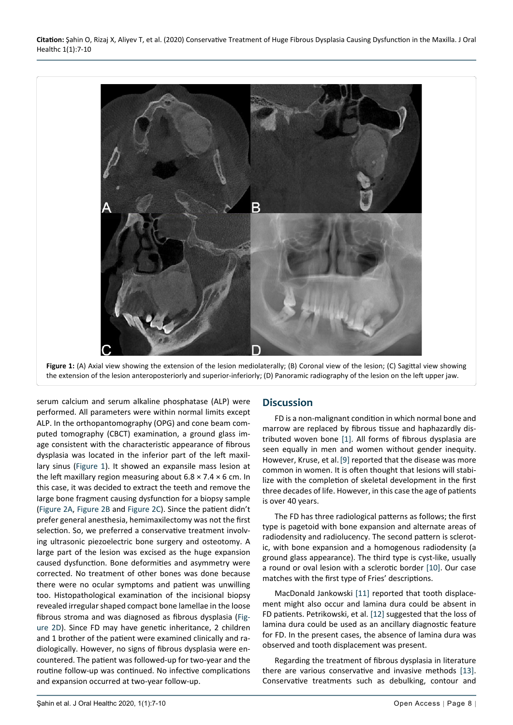



serum calcium and serum alkaline phosphatase (ALP) were performed. All parameters were within normal limits except ALP. In the orthopantomography (OPG) and cone beam computed tomography (CBCT) examination, a ground glass image consistent with the characteristic appearance of fibrous dysplasia was located in the inferior part of the left [maxil](https://www.sciencedirect.com/topics/medicine-and-dentistry/maxillary-sinus)[lary sinus](https://www.sciencedirect.com/topics/medicine-and-dentistry/maxillary-sinus) [\(Figure 1](#page-1-0)). It showed an expansile mass lesion at the left maxillary region measuring about  $6.8 \times 7.4 \times 6$  cm. In this case, it was decided to extract the teeth and remove the large bone fragment causing dysfunction for a biopsy sample ([Figure 2A](#page-2-1), [Figure 2B](#page-2-1) and [Figure 2C\)](#page-2-1). Since the patient didn't prefer general anesthesia, hemimaxilectomy was not the first selection. So, we preferred a conservative treatment involving ultrasonic piezoelectric bone surgery and osteotomy. A large part of the lesion was excised as the huge expansion caused dysfunction. Bone deformities and asymmetry were corrected. No treatment of other bones was done because there were no ocular symptoms and patient was unwilling too. Histopathological examination of the incisional biopsy revealed irregular shaped compact bone lamellae in the loose fibrous stroma and was diagnosed as fibrous dysplasia ([Fig](#page-2-1)[ure 2D](#page-2-1)). Since FD may have genetic inheritance, 2 children and 1 brother of the patient were examined clinically and radiologically. However, no signs of fibrous dysplasia were encountered. The patient was followed-up for two-year and the routine follow-up was continued. No infective complications and expansion occurred at two-year follow-up.

#### **Discussion**

FD is a non-malignant condition in which normal bone and marrow are replaced by fibrous tissue and haphazardly distributed woven bone [[1\]](#page-2-0). All forms of fibrous dysplasia are seen equally in men and women without gender inequity. However, Kruse, et al.[[9\]](#page-3-7) reported that the disease was more common in women. It is often thought that lesions will stabilize with the completion of skeletal development in the first three decades of life. However, in this case the age of patients is over 40 years.

The FD has three radiological patterns as follows; the first type is pagetoid with bone expansion and alternate areas of radiodensity and radiolucency. The second pattern is sclerotic, with bone expansion and a homogenous radiodensity (a ground glass appearance). The third type is cyst-like, usually a round or oval lesion with a sclerotic border [[10\]](#page-3-8). Our case matches with the first type of Fries' descriptions.

MacDonald Jankowski [[11\]](#page-3-9) reported that tooth displacement might also occur and lamina dura could be absent in FD patients. Petrikowski, et al. [\[12](#page-3-10)] suggested that the loss of lamina dura could be used as an ancillary diagnostic feature for FD. In the present cases, the absence of lamina dura was observed and tooth displacement was present.

Regarding the treatment of fibrous dysplasia in literature there are various conservative and invasive methods [\[13](#page-3-11)]. Conservative treatments such as debulking, contour and

<span id="page-1-0"></span>Ĩ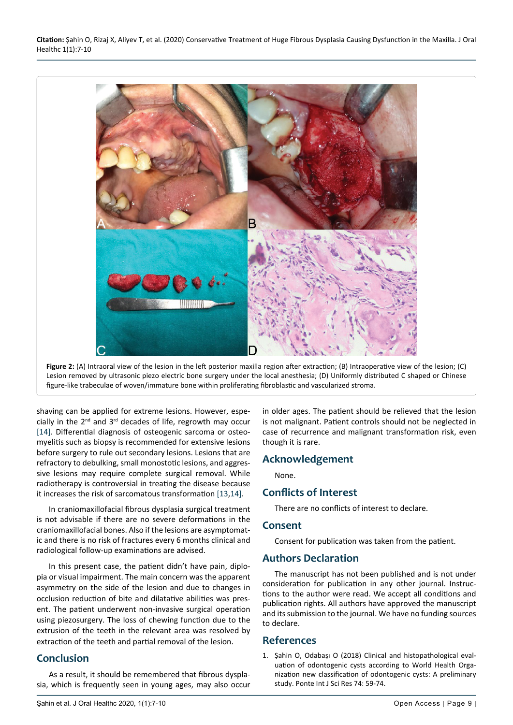<span id="page-2-1"></span>

**Figure 2:** (A) Intraoral view of the lesion in the left posterior maxilla region after extraction; (B) Intraoperative view of the lesion; (C) Lesion removed by ultrasonic piezo electric bone surgery under the local anesthesia; (D) Uniformly distributed C shaped or Chinese figure-like trabeculae of woven/immature bone within proliferating fibroblastic and vascularized stroma.

shaving can be applied for extreme lesions. However, especially in the  $2^{nd}$  and  $3^{rd}$  decades of life, regrowth may occur [[14\]](#page-3-12). Differential diagnosis of osteogenic sarcoma or osteomyelitis such as biopsy is recommended for extensive lesions before surgery to rule out secondary lesions. Lesions that are refractory to debulking, small monostotic lesions, and aggressive lesions may require complete surgical removal. While radiotherapy is controversial in treating the disease because it increases the risk of sarcomatous transformation [[13](#page-3-11),[14\]](#page-3-12).

In craniomaxillofacial fibrous dysplasia surgical treatment is not advisable if there are no severe deformations in the craniomaxillofacial bones. Also if the lesions are asymptomatic and there is no risk of fractures every 6 months clinical and radiological follow-up examinations are advised.

In this present case, the patient didn't have pain, diplopia or visual impairment. The main concern was the apparent asymmetry on the side of the lesion and due to changes in occlusion reduction of bite and dilatative abilities was present. The patient underwent non-invasive surgical operation using piezosurgery. The loss of chewing function due to the extrusion of the teeth in the relevant area was resolved by extraction of the teeth and partial removal of the lesion.

# **Conclusion**

As a result, it should be remembered that fibrous dysplasia, which is frequently seen in young ages, may also occur

in older ages. The patient should be relieved that the lesion is not malignant. Patient controls should not be neglected in case of recurrence and malignant transformation risk, even though it is rare.

# **Acknowledgement**

None.

# **Conflicts of Interest**

There are no conflicts of interest to declare.

# **Consent**

Consent for publication was taken from the patient.

#### **Authors Declaration**

The manuscript has not been published and is not under consideration for publication in any other journal. Instructions to the author were read. We accept all conditions and publication rights. All authors have approved the manuscript and its submission to the journal. We have no funding sources to declare.

# **References**

<span id="page-2-0"></span>1. [Şahin O, Odabaşı O \(2018\) Clinical and histopathological eval](http://www.pontejournal.net/mainpanel/abstract.php?TOKEN=gRkgF5411G&PID=PJ-ILR3F)[uation of odontogenic cysts according to World Health Orga](http://www.pontejournal.net/mainpanel/abstract.php?TOKEN=gRkgF5411G&PID=PJ-ILR3F)[nization new classification of odontogenic cysts: A preliminary](http://www.pontejournal.net/mainpanel/abstract.php?TOKEN=gRkgF5411G&PID=PJ-ILR3F)  study. [Ponte Int J Sci Res 74: 59-74.](http://www.pontejournal.net/mainpanel/abstract.php?TOKEN=gRkgF5411G&PID=PJ-ILR3F)